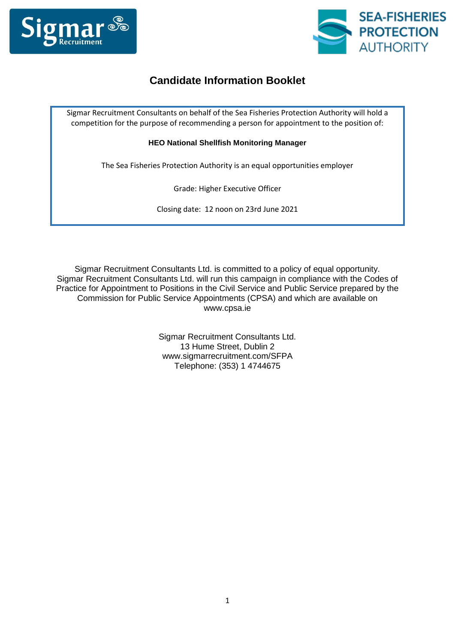



# **Candidate Information Booklet**

Sigmar Recruitment Consultants on behalf of the Sea Fisheries Protection Authority will hold a competition for the purpose of recommending a person for appointment to the position of:

**HEO National Shellfish Monitoring Manager**

The Sea Fisheries Protection Authority is an equal opportunities employer

Grade: Higher Executive Officer

Closing date: 12 noon on 23rd June 2021

Sigmar Recruitment Consultants Ltd. is committed to a policy of equal opportunity. Sigmar Recruitment Consultants Ltd. will run this campaign in compliance with the Codes of Practice for Appointment to Positions in the Civil Service and Public Service prepared by the Commission for Public Service Appointments (CPSA) and which are available on www.cpsa.ie

> Sigmar Recruitment Consultants Ltd. 13 Hume Street, Dublin 2 www.sigmarrecruitment.com/SFPA Telephone: (353) 1 4744675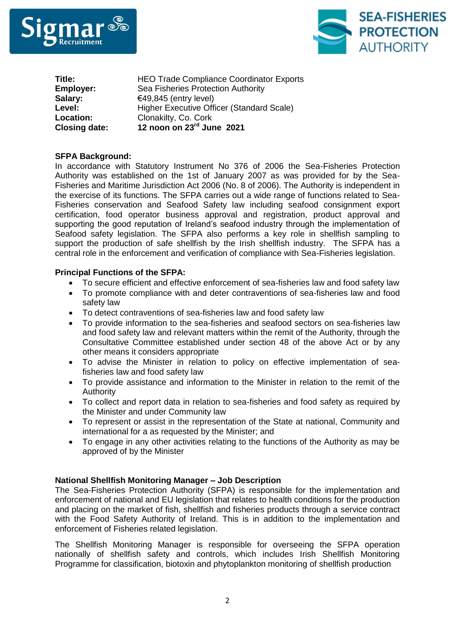



| <b>Closing date:</b> | 12 noon on 23rd June 2021                       |
|----------------------|-------------------------------------------------|
| <b>Location:</b>     | Clonakilty, Co. Cork                            |
| Level:               | Higher Executive Officer (Standard Scale)       |
| Salary:              | €49,845 (entry level)                           |
| <b>Employer:</b>     | Sea Fisheries Protection Authority              |
| Title:               | <b>HEO Trade Compliance Coordinator Exports</b> |

# **SFPA Background:**

In accordance with Statutory Instrument No 376 of 2006 the Sea-Fisheries Protection Authority was established on the 1st of January 2007 as was provided for by the Sea-Fisheries and Maritime Jurisdiction Act 2006 (No. 8 of 2006). The Authority is independent in the exercise of its functions. The SFPA carries out a wide range of functions related to Sea-Fisheries conservation and Seafood Safety law including seafood consignment export certification, food operator business approval and registration, product approval and supporting the good reputation of Ireland's seafood industry through the implementation of Seafood safety legislation. The SFPA also performs a key role in shellfish sampling to support the production of safe shellfish by the Irish shellfish industry. The SFPA has a central role in the enforcement and verification of compliance with Sea-Fisheries legislation.

# **Principal Functions of the SFPA:**

- To secure efficient and effective enforcement of sea-fisheries law and food safety law
- To promote compliance with and deter contraventions of sea-fisheries law and food safety law
- To detect contraventions of sea-fisheries law and food safety law
- To provide information to the sea-fisheries and seafood sectors on sea-fisheries law and food safety law and relevant matters within the remit of the Authority, through the Consultative Committee established under section 48 of the above Act or by any other means it considers appropriate
- To advise the Minister in relation to policy on effective implementation of seafisheries law and food safety law
- To provide assistance and information to the Minister in relation to the remit of the Authority
- To collect and report data in relation to sea-fisheries and food safety as required by the Minister and under Community law
- To represent or assist in the representation of the State at national, Community and international for a as requested by the Minister; and
- To engage in any other activities relating to the functions of the Authority as may be approved of by the Minister

### **National Shellfish Monitoring Manager – Job Description**

The Sea-Fisheries Protection Authority (SFPA) is responsible for the implementation and enforcement of national and EU legislation that relates to health conditions for the production and placing on the market of fish, shellfish and fisheries products through a service contract with the Food Safety Authority of Ireland. This is in addition to the implementation and enforcement of Fisheries related legislation.

The Shellfish Monitoring Manager is responsible for overseeing the SFPA operation nationally of shellfish safety and controls, which includes Irish Shellfish Monitoring Programme for classification, biotoxin and phytoplankton monitoring of shellfish production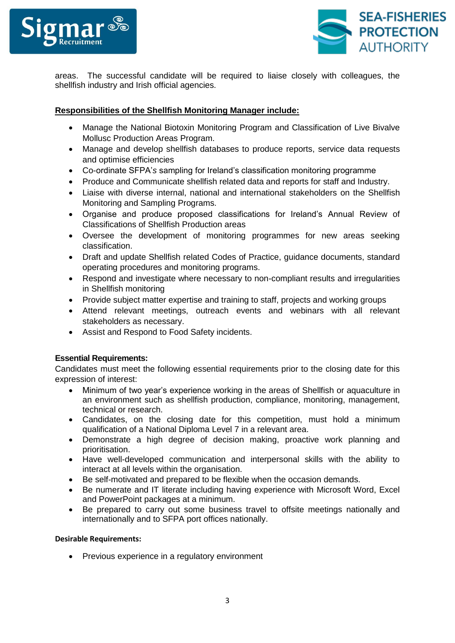



areas. The successful candidate will be required to liaise closely with colleagues, the shellfish industry and Irish official agencies.

# **Responsibilities of the Shellfish Monitoring Manager include:**

- Manage the National Biotoxin Monitoring Program and Classification of Live Bivalve Mollusc Production Areas Program.
- Manage and develop shellfish databases to produce reports, service data requests and optimise efficiencies
- Co-ordinate SFPA'*s* sampling for Ireland's classification monitoring programme
- Produce and Communicate shellfish related data and reports for staff and Industry.
- Liaise with diverse internal, national and international stakeholders on the Shellfish Monitoring and Sampling Programs.
- Organise and produce proposed classifications for Ireland's Annual Review of Classifications of Shellfish Production areas
- Oversee the development of monitoring programmes for new areas seeking classification.
- Draft and update Shellfish related Codes of Practice, guidance documents, standard operating procedures and monitoring programs.
- Respond and investigate where necessary to non-compliant results and irregularities in Shellfish monitoring
- Provide subject matter expertise and training to staff, projects and working groups
- Attend relevant meetings, outreach events and webinars with all relevant stakeholders as necessary.
- Assist and Respond to Food Safety incidents.

# **Essential Requirements:**

Candidates must meet the following essential requirements prior to the closing date for this expression of interest:

- Minimum of two year's experience working in the areas of Shellfish or aquaculture in an environment such as shellfish production, compliance, monitoring, management, technical or research.
- Candidates, on the closing date for this competition, must hold a minimum qualification of a National Diploma Level 7 in a relevant area.
- Demonstrate a high degree of decision making, proactive work planning and prioritisation.
- Have well-developed communication and interpersonal skills with the ability to interact at all levels within the organisation.
- Be self-motivated and prepared to be flexible when the occasion demands.
- Be numerate and IT literate including having experience with Microsoft Word, Excel and PowerPoint packages at a minimum.
- Be prepared to carry out some business travel to offsite meetings nationally and internationally and to SFPA port offices nationally.

### **Desirable Requirements:**

• Previous experience in a regulatory environment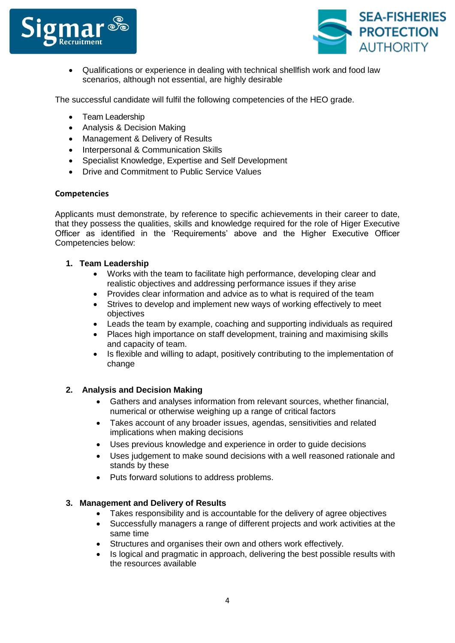



 Qualifications or experience in dealing with technical shellfish work and food law scenarios, although not essential, are highly desirable

The successful candidate will fulfil the following competencies of the HEO grade.

- Team Leadership
- Analysis & Decision Making
- Management & Delivery of Results
- Interpersonal & Communication Skills
- Specialist Knowledge, Expertise and Self Development
- Drive and Commitment to Public Service Values

# **Competencies**

Applicants must demonstrate, by reference to specific achievements in their career to date, that they possess the qualities, skills and knowledge required for the role of Higer Executive Officer as identified in the 'Requirements' above and the Higher Executive Officer Competencies below:

# **1. Team Leadership**

- Works with the team to facilitate high performance, developing clear and realistic objectives and addressing performance issues if they arise
- Provides clear information and advice as to what is required of the team
- Strives to develop and implement new ways of working effectively to meet objectives
- Leads the team by example, coaching and supporting individuals as required
- Places high importance on staff development, training and maximising skills and capacity of team.
- Is flexible and willing to adapt, positively contributing to the implementation of change

# **2. Analysis and Decision Making**

- Gathers and analyses information from relevant sources, whether financial, numerical or otherwise weighing up a range of critical factors
- Takes account of any broader issues, agendas, sensitivities and related implications when making decisions
- Uses previous knowledge and experience in order to guide decisions
- Uses judgement to make sound decisions with a well reasoned rationale and stands by these
- Puts forward solutions to address problems.

### **3. Management and Delivery of Results**

- Takes responsibility and is accountable for the delivery of agree objectives
- Successfully managers a range of different projects and work activities at the same time
- Structures and organises their own and others work effectively.
- Is logical and pragmatic in approach, delivering the best possible results with the resources available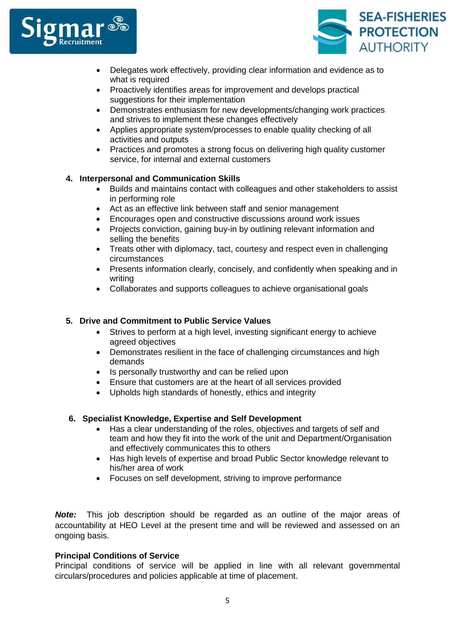



- Delegates work effectively, providing clear information and evidence as to what is required
- Proactively identifies areas for improvement and develops practical suggestions for their implementation
- Demonstrates enthusiasm for new developments/changing work practices and strives to implement these changes effectively
- Applies appropriate system/processes to enable quality checking of all activities and outputs
- Practices and promotes a strong focus on delivering high quality customer service, for internal and external customers

# **4. Interpersonal and Communication Skills**

- Builds and maintains contact with colleagues and other stakeholders to assist in performing role
- Act as an effective link between staff and senior management
- Encourages open and constructive discussions around work issues
- Projects conviction, gaining buy-in by outlining relevant information and selling the benefits
- Treats other with diplomacy, tact, courtesy and respect even in challenging circumstances
- Presents information clearly, concisely, and confidently when speaking and in writing
- Collaborates and supports colleagues to achieve organisational goals

# **5. Drive and Commitment to Public Service Values**

- Strives to perform at a high level, investing significant energy to achieve agreed objectives
- Demonstrates resilient in the face of challenging circumstances and high demands
- Is personally trustworthy and can be relied upon
- Ensure that customers are at the heart of all services provided
- Upholds high standards of honestly, ethics and integrity

# **6. Specialist Knowledge, Expertise and Self Development**

- Has a clear understanding of the roles, objectives and targets of self and team and how they fit into the work of the unit and Department/Organisation and effectively communicates this to others
- Has high levels of expertise and broad Public Sector knowledge relevant to his/her area of work
- Focuses on self development, striving to improve performance

*Note:* This job description should be regarded as an outline of the major areas of accountability at HEO Level at the present time and will be reviewed and assessed on an ongoing basis.

# **Principal Conditions of Service**

Principal conditions of service will be applied in line with all relevant governmental circulars/procedures and policies applicable at time of placement.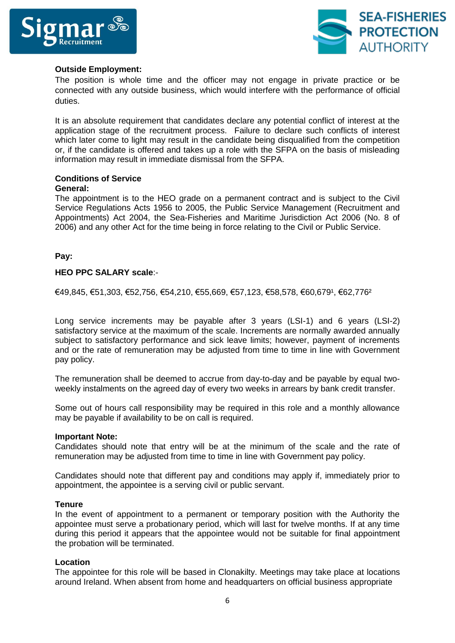



# **Outside Employment:**

The position is whole time and the officer may not engage in private practice or be connected with any outside business, which would interfere with the performance of official duties.

It is an absolute requirement that candidates declare any potential conflict of interest at the application stage of the recruitment process. Failure to declare such conflicts of interest which later come to light may result in the candidate being disqualified from the competition or, if the candidate is offered and takes up a role with the SFPA on the basis of misleading information may result in immediate dismissal from the SFPA.

# **Conditions of Service**

### **General:**

The appointment is to the HEO grade on a permanent contract and is subject to the Civil Service Regulations Acts 1956 to 2005, the Public Service Management (Recruitment and Appointments) Act 2004, the Sea-Fisheries and Maritime Jurisdiction Act 2006 (No. 8 of 2006) and any other Act for the time being in force relating to the Civil or Public Service.

# **Pay:**

# **HEO PPC SALARY scale**:-

€49,845, €51,303, €52,756, €54,210, €55,669, €57,123, €58,578, €60,679¹, €62,776²

Long service increments may be payable after 3 years (LSI-1) and 6 years (LSI-2) satisfactory service at the maximum of the scale. Increments are normally awarded annually subject to satisfactory performance and sick leave limits; however, payment of increments and or the rate of remuneration may be adjusted from time to time in line with Government pay policy.

The remuneration shall be deemed to accrue from day-to-day and be payable by equal twoweekly instalments on the agreed day of every two weeks in arrears by bank credit transfer.

Some out of hours call responsibility may be required in this role and a monthly allowance may be payable if availability to be on call is required.

### **Important Note:**

Candidates should note that entry will be at the minimum of the scale and the rate of remuneration may be adjusted from time to time in line with Government pay policy.

Candidates should note that different pay and conditions may apply if, immediately prior to appointment, the appointee is a serving civil or public servant.

### **Tenure**

In the event of appointment to a permanent or temporary position with the Authority the appointee must serve a probationary period, which will last for twelve months. If at any time during this period it appears that the appointee would not be suitable for final appointment the probation will be terminated.

### **Location**

The appointee for this role will be based in Clonakilty. Meetings may take place at locations around Ireland. When absent from home and headquarters on official business appropriate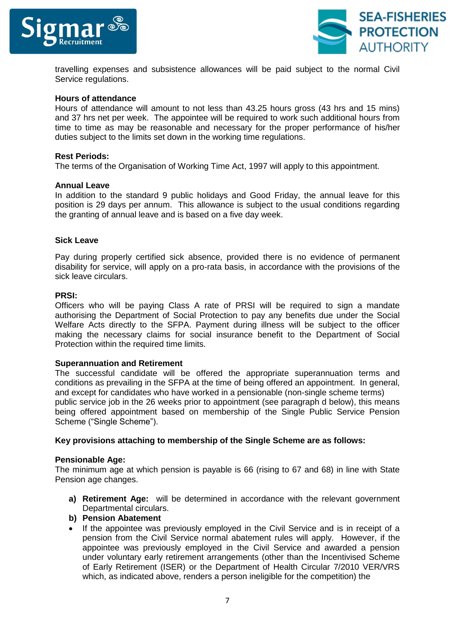



travelling expenses and subsistence allowances will be paid subject to the normal Civil Service regulations.

#### **Hours of attendance**

Hours of attendance will amount to not less than 43.25 hours gross (43 hrs and 15 mins) and 37 hrs net per week. The appointee will be required to work such additional hours from time to time as may be reasonable and necessary for the proper performance of his/her duties subject to the limits set down in the working time regulations.

#### **Rest Periods:**

The terms of the Organisation of Working Time Act, 1997 will apply to this appointment.

#### **Annual Leave**

In addition to the standard 9 public holidays and Good Friday, the annual leave for this position is 29 days per annum. This allowance is subject to the usual conditions regarding the granting of annual leave and is based on a five day week.

#### **Sick Leave**

Pay during properly certified sick absence, provided there is no evidence of permanent disability for service, will apply on a pro-rata basis, in accordance with the provisions of the sick leave circulars.

#### **PRSI:**

Officers who will be paying Class A rate of PRSI will be required to sign a mandate authorising the Department of Social Protection to pay any benefits due under the Social Welfare Acts directly to the SFPA. Payment during illness will be subject to the officer making the necessary claims for social insurance benefit to the Department of Social Protection within the required time limits.

### **Superannuation and Retirement**

The successful candidate will be offered the appropriate superannuation terms and conditions as prevailing in the SFPA at the time of being offered an appointment. In general, and except for candidates who have worked in a pensionable (non-single scheme terms) public service job in the 26 weeks prior to appointment (see paragraph d below), this means being offered appointment based on membership of the Single Public Service Pension Scheme ("Single Scheme").

#### **Key provisions attaching to membership of the Single Scheme are as follows:**

#### **Pensionable Age:**

The minimum age at which pension is payable is 66 (rising to 67 and 68) in line with State Pension age changes.

**a) Retirement Age:** will be determined in accordance with the relevant government Departmental circulars.

### **b) Pension Abatement**

• If the appointee was previously employed in the Civil Service and is in receipt of a pension from the Civil Service normal abatement rules will apply. However, if the appointee was previously employed in the Civil Service and awarded a pension under voluntary early retirement arrangements (other than the Incentivised Scheme of Early Retirement (ISER) or the Department of Health Circular 7/2010 VER/VRS which, as indicated above, renders a person ineligible for the competition) the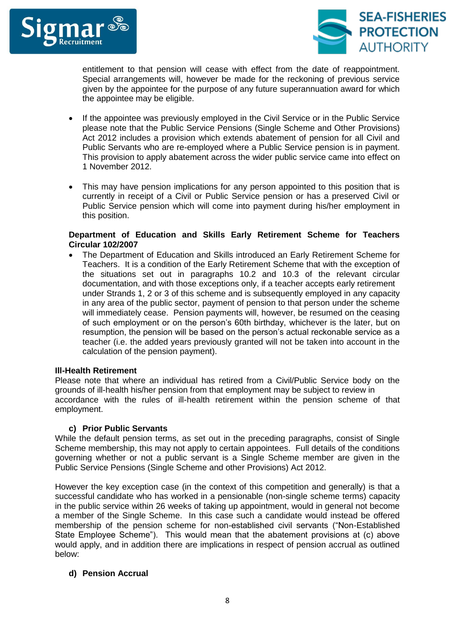



entitlement to that pension will cease with effect from the date of reappointment. Special arrangements will, however be made for the reckoning of previous service given by the appointee for the purpose of any future superannuation award for which the appointee may be eligible.

- If the appointee was previously employed in the Civil Service or in the Public Service please note that the Public Service Pensions (Single Scheme and Other Provisions) Act 2012 includes a provision which extends abatement of pension for all Civil and Public Servants who are re-employed where a Public Service pension is in payment. This provision to apply abatement across the wider public service came into effect on 1 November 2012.
- This may have pension implications for any person appointed to this position that is currently in receipt of a Civil or Public Service pension or has a preserved Civil or Public Service pension which will come into payment during his/her employment in this position.

# **Department of Education and Skills Early Retirement Scheme for Teachers Circular 102/2007**

 The Department of Education and Skills introduced an Early Retirement Scheme for Teachers. It is a condition of the Early Retirement Scheme that with the exception of the situations set out in paragraphs 10.2 and 10.3 of the relevant circular documentation, and with those exceptions only, if a teacher accepts early retirement under Strands 1, 2 or 3 of this scheme and is subsequently employed in any capacity in any area of the public sector, payment of pension to that person under the scheme will immediately cease. Pension payments will, however, be resumed on the ceasing of such employment or on the person's 60th birthday, whichever is the later, but on resumption, the pension will be based on the person's actual reckonable service as a teacher (i.e. the added years previously granted will not be taken into account in the calculation of the pension payment).

### **Ill-Health Retirement**

Please note that where an individual has retired from a Civil/Public Service body on the grounds of ill-health his/her pension from that employment may be subject to review in accordance with the rules of ill-health retirement within the pension scheme of that employment.

### **c) Prior Public Servants**

While the default pension terms, as set out in the preceding paragraphs, consist of Single Scheme membership, this may not apply to certain appointees. Full details of the conditions governing whether or not a public servant is a Single Scheme member are given in the Public Service Pensions (Single Scheme and other Provisions) Act 2012.

However the key exception case (in the context of this competition and generally) is that a successful candidate who has worked in a pensionable (non-single scheme terms) capacity in the public service within 26 weeks of taking up appointment, would in general not become a member of the Single Scheme. In this case such a candidate would instead be offered membership of the pension scheme for non-established civil servants ("Non-Established State Employee Scheme"). This would mean that the abatement provisions at (c) above would apply, and in addition there are implications in respect of pension accrual as outlined below:

# **d) Pension Accrual**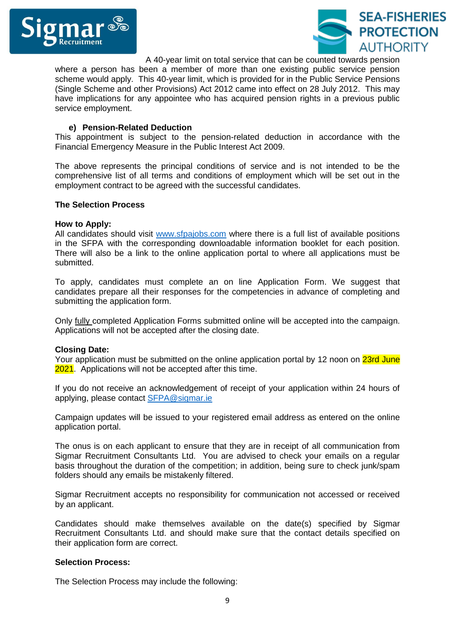



A 40-year limit on total service that can be counted towards pension

where a person has been a member of more than one existing public service pension scheme would apply. This 40-year limit, which is provided for in the Public Service Pensions (Single Scheme and other Provisions) Act 2012 came into effect on 28 July 2012. This may have implications for any appointee who has acquired pension rights in a previous public service employment.

# **e) Pension-Related Deduction**

This appointment is subject to the pension-related deduction in accordance with the Financial Emergency Measure in the Public Interest Act 2009.

The above represents the principal conditions of service and is not intended to be the comprehensive list of all terms and conditions of employment which will be set out in the employment contract to be agreed with the successful candidates.

### **The Selection Process**

### **How to Apply:**

All candidates should visit [www.sfpajobs.com](http://www.sfpajobs.com/) where there is a full list of available positions in the SFPA with the corresponding downloadable information booklet for each position. There will also be a link to the online application portal to where all applications must be submitted.

To apply, candidates must complete an on line Application Form. We suggest that candidates prepare all their responses for the competencies in advance of completing and submitting the application form.

Only fully completed Application Forms submitted online will be accepted into the campaign. Applications will not be accepted after the closing date.

### **Closing Date:**

Your application must be submitted on the online application portal by 12 noon on 23rd June 2021. Applications will not be accepted after this time.

If you do not receive an acknowledgement of receipt of your application within 24 hours of applying, please contact [SFPA@sigmar.ie](mailto:SFPA@sigmar.ie)

Campaign updates will be issued to your registered email address as entered on the online application portal.

The onus is on each applicant to ensure that they are in receipt of all communication from Sigmar Recruitment Consultants Ltd. You are advised to check your emails on a regular basis throughout the duration of the competition; in addition, being sure to check junk/spam folders should any emails be mistakenly filtered.

Sigmar Recruitment accepts no responsibility for communication not accessed or received by an applicant.

Candidates should make themselves available on the date(s) specified by Sigmar Recruitment Consultants Ltd. and should make sure that the contact details specified on their application form are correct.

### **Selection Process:**

The Selection Process may include the following: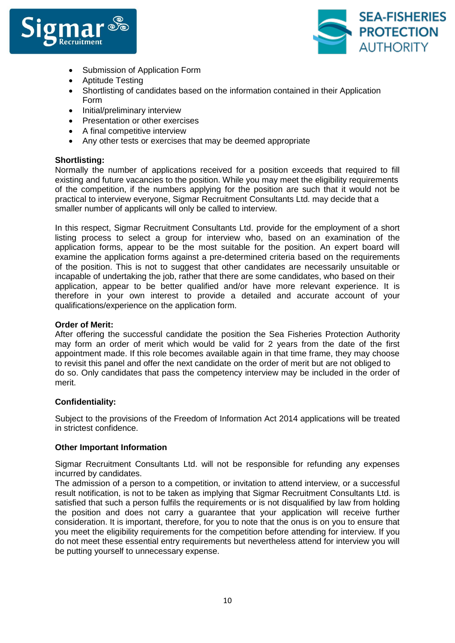



- Submission of Application Form
- Aptitude Testing
- Shortlisting of candidates based on the information contained in their Application Form
- Initial/preliminary interview
- Presentation or other exercises
- A final competitive interview
- Any other tests or exercises that may be deemed appropriate

# **Shortlisting:**

Normally the number of applications received for a position exceeds that required to fill existing and future vacancies to the position. While you may meet the eligibility requirements of the competition, if the numbers applying for the position are such that it would not be practical to interview everyone, Sigmar Recruitment Consultants Ltd. may decide that a smaller number of applicants will only be called to interview.

In this respect, Sigmar Recruitment Consultants Ltd. provide for the employment of a short listing process to select a group for interview who, based on an examination of the application forms, appear to be the most suitable for the position. An expert board will examine the application forms against a pre-determined criteria based on the requirements of the position. This is not to suggest that other candidates are necessarily unsuitable or incapable of undertaking the job, rather that there are some candidates, who based on their application, appear to be better qualified and/or have more relevant experience. It is therefore in your own interest to provide a detailed and accurate account of your qualifications/experience on the application form.

# **Order of Merit:**

After offering the successful candidate the position the Sea Fisheries Protection Authority may form an order of merit which would be valid for 2 years from the date of the first appointment made. If this role becomes available again in that time frame, they may choose to revisit this panel and offer the next candidate on the order of merit but are not obliged to do so. Only candidates that pass the competency interview may be included in the order of merit.

# **Confidentiality:**

Subject to the provisions of the Freedom of Information Act 2014 applications will be treated in strictest confidence.

### **Other Important Information**

Sigmar Recruitment Consultants Ltd. will not be responsible for refunding any expenses incurred by candidates.

The admission of a person to a competition, or invitation to attend interview, or a successful result notification, is not to be taken as implying that Sigmar Recruitment Consultants Ltd. is satisfied that such a person fulfils the requirements or is not disqualified by law from holding the position and does not carry a guarantee that your application will receive further consideration. It is important, therefore, for you to note that the onus is on you to ensure that you meet the eligibility requirements for the competition before attending for interview. If you do not meet these essential entry requirements but nevertheless attend for interview you will be putting yourself to unnecessary expense.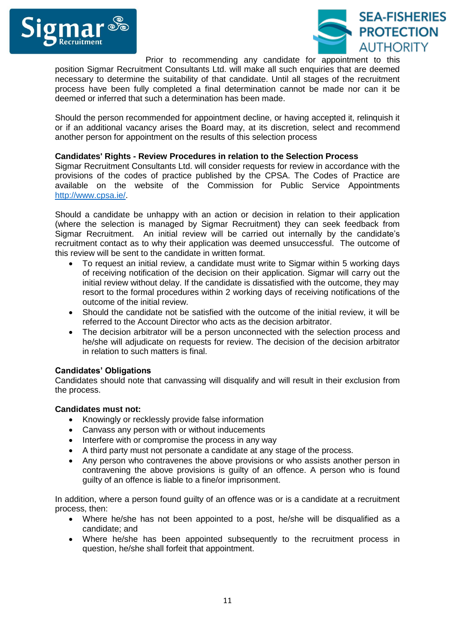



Prior to recommending any candidate for appointment to this position Sigmar Recruitment Consultants Ltd. will make all such enquiries that are deemed necessary to determine the suitability of that candidate. Until all stages of the recruitment process have been fully completed a final determination cannot be made nor can it be deemed or inferred that such a determination has been made.

Should the person recommended for appointment decline, or having accepted it, relinquish it or if an additional vacancy arises the Board may, at its discretion, select and recommend another person for appointment on the results of this selection process

# **Candidates' Rights - Review Procedures in relation to the Selection Process**

Sigmar Recruitment Consultants Ltd. will consider requests for review in accordance with the provisions of the codes of practice published by the CPSA. The Codes of Practice are available on the website of the Commission for Public Service Appointments [http://www.cpsa.ie/.](http://www.cpsa.ie/)

Should a candidate be unhappy with an action or decision in relation to their application (where the selection is managed by Sigmar Recruitment) they can seek feedback from Sigmar Recruitment. An initial review will be carried out internally by the candidate's recruitment contact as to why their application was deemed unsuccessful. The outcome of this review will be sent to the candidate in written format.

- To request an initial review, a candidate must write to Sigmar within 5 working days of receiving notification of the decision on their application. Sigmar will carry out the initial review without delay. If the candidate is dissatisfied with the outcome, they may resort to the formal procedures within 2 working days of receiving notifications of the outcome of the initial review.
- Should the candidate not be satisfied with the outcome of the initial review, it will be referred to the Account Director who acts as the decision arbitrator.
- The decision arbitrator will be a person unconnected with the selection process and he/she will adjudicate on requests for review. The decision of the decision arbitrator in relation to such matters is final.

# **Candidates' Obligations**

Candidates should note that canvassing will disqualify and will result in their exclusion from the process.

### **Candidates must not:**

- Knowingly or recklessly provide false information
- Canvass any person with or without inducements
- Interfere with or compromise the process in any way
- A third party must not personate a candidate at any stage of the process.
- Any person who contravenes the above provisions or who assists another person in contravening the above provisions is guilty of an offence. A person who is found guilty of an offence is liable to a fine/or imprisonment.

In addition, where a person found guilty of an offence was or is a candidate at a recruitment process, then:

- Where he/she has not been appointed to a post, he/she will be disqualified as a candidate; and
- Where he/she has been appointed subsequently to the recruitment process in question, he/she shall forfeit that appointment.